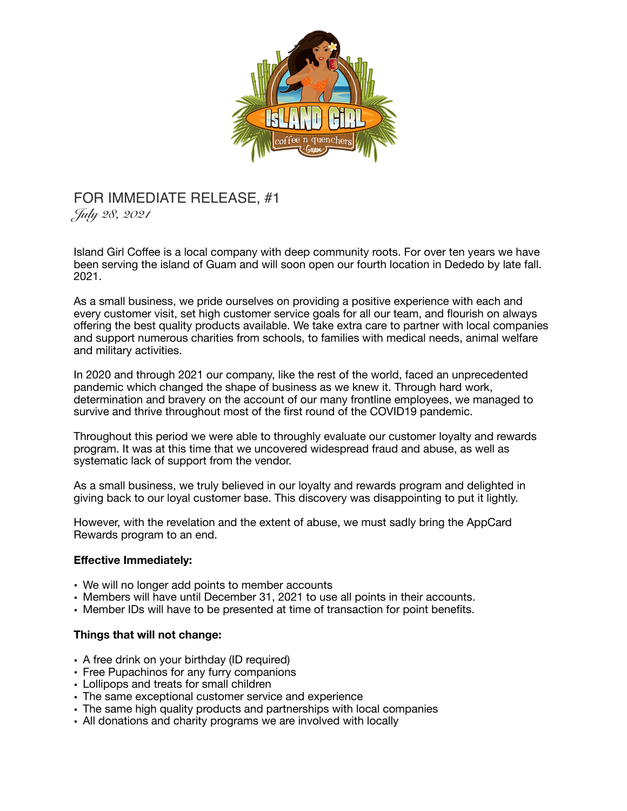

## FOR IMMEDIATE RELEASE, #1

*July 28, 2021* 

Island Girl Coffee is a local company with deep community roots. For over ten years we have been serving the island of Guam and will soon open our fourth location in Dededo by late fall. 2021.

As a small business, we pride ourselves on providing a positive experience with each and every customer visit, set high customer service goals for all our team, and flourish on always offering the best quality products available. We take extra care to partner with local companies and support numerous charities from schools, to families with medical needs, animal welfare and military activities.

In 2020 and through 2021 our company, like the rest of the world, faced an unprecedented pandemic which changed the shape of business as we knew it. Through hard work, determination and bravery on the account of our many frontline employees, we managed to survive and thrive throughout most of the first round of the COVID19 pandemic.

Throughout this period we were able to throughly evaluate our customer loyalty and rewards program. It was at this time that we uncovered widespread fraud and abuse, as well as systematic lack of support from the vendor.

As a small business, we truly believed in our loyalty and rewards program and delighted in giving back to our loyal customer base. This discovery was disappointing to put it lightly.

However, with the revelation and the extent of abuse, we must sadly bring the AppCard Rewards program to an end.

## **Effective Immediately:**

- We will no longer add points to member accounts
- Members will have until December 31, 2021 to use all points in their accounts.
- Member IDs will have to be presented at time of transaction for point benefits.

## **Things that will not change:**

- A free drink on your birthday (ID required)
- Free Pupachinos for any furry companions
- Lollipops and treats for small children
- The same exceptional customer service and experience
- The same high quality products and partnerships with local companies
- All donations and charity programs we are involved with locally